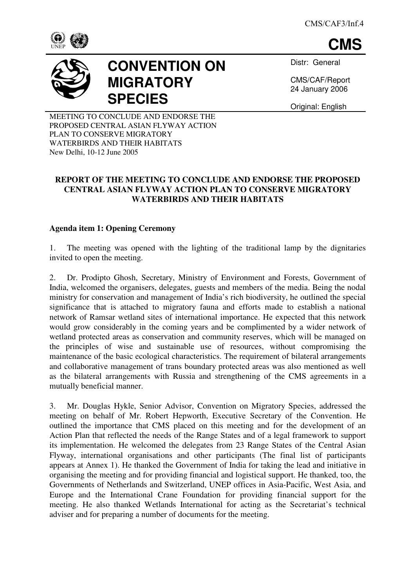**CMS**





# **CONVENTION ON MIGRATORY SPECIES**

Distr: General

CMS/CAF/Report 24 January 2006

Original: English

MEETING TO CONCLUDE AND ENDORSE THE PROPOSED CENTRAL ASIAN FLYWAY ACTION PLAN TO CONSERVE MIGRATORY WATERBIRDS AND THEIR HABITATS New Delhi, 10-12 June 2005

## **REPORT OF THE MEETING TO CONCLUDE AND ENDORSE THE PROPOSED CENTRAL ASIAN FLYWAY ACTION PLAN TO CONSERVE MIGRATORY WATERBIRDS AND THEIR HABITATS**

## **Agenda item 1: Opening Ceremony**

1. The meeting was opened with the lighting of the traditional lamp by the dignitaries invited to open the meeting.

2. Dr. Prodipto Ghosh, Secretary, Ministry of Environment and Forests, Government of India, welcomed the organisers, delegates, guests and members of the media. Being the nodal ministry for conservation and management of India's rich biodiversity, he outlined the special significance that is attached to migratory fauna and efforts made to establish a national network of Ramsar wetland sites of international importance. He expected that this network would grow considerably in the coming years and be complimented by a wider network of wetland protected areas as conservation and community reserves, which will be managed on the principles of wise and sustainable use of resources, without compromising the maintenance of the basic ecological characteristics. The requirement of bilateral arrangements and collaborative management of trans boundary protected areas was also mentioned as well as the bilateral arrangements with Russia and strengthening of the CMS agreements in a mutually beneficial manner.

3. Mr. Douglas Hykle, Senior Advisor, Convention on Migratory Species, addressed the meeting on behalf of Mr. Robert Hepworth, Executive Secretary of the Convention. He outlined the importance that CMS placed on this meeting and for the development of an Action Plan that reflected the needs of the Range States and of a legal framework to support its implementation. He welcomed the delegates from 23 Range States of the Central Asian Flyway, international organisations and other participants (The final list of participants appears at Annex 1). He thanked the Government of India for taking the lead and initiative in organising the meeting and for providing financial and logistical support. He thanked, too, the Governments of Netherlands and Switzerland, UNEP offices in Asia-Pacific, West Asia, and Europe and the International Crane Foundation for providing financial support for the meeting. He also thanked Wetlands International for acting as the Secretariat's technical adviser and for preparing a number of documents for the meeting.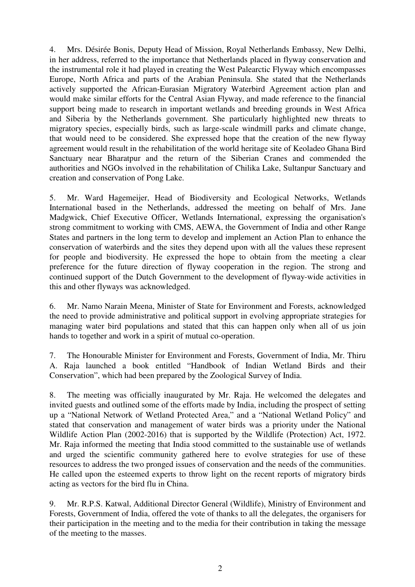4. Mrs. Désirée Bonis, Deputy Head of Mission, Royal Netherlands Embassy, New Delhi, in her address, referred to the importance that Netherlands placed in flyway conservation and the instrumental role it had played in creating the West Palearctic Flyway which encompasses Europe, North Africa and parts of the Arabian Peninsula. She stated that the Netherlands actively supported the African-Eurasian Migratory Waterbird Agreement action plan and would make similar efforts for the Central Asian Flyway, and made reference to the financial support being made to research in important wetlands and breeding grounds in West Africa and Siberia by the Netherlands government. She particularly highlighted new threats to migratory species, especially birds, such as large-scale windmill parks and climate change, that would need to be considered. She expressed hope that the creation of the new flyway agreement would result in the rehabilitation of the world heritage site of Keoladeo Ghana Bird Sanctuary near Bharatpur and the return of the Siberian Cranes and commended the authorities and NGOs involved in the rehabilitation of Chilika Lake, Sultanpur Sanctuary and creation and conservation of Pong Lake.

5. Mr. Ward Hagemeijer, Head of Biodiversity and Ecological Networks, Wetlands International based in the Netherlands, addressed the meeting on behalf of Mrs. Jane Madgwick, Chief Executive Officer, Wetlands International, expressing the organisation's strong commitment to working with CMS, AEWA, the Government of India and other Range States and partners in the long term to develop and implement an Action Plan to enhance the conservation of waterbirds and the sites they depend upon with all the values these represent for people and biodiversity. He expressed the hope to obtain from the meeting a clear preference for the future direction of flyway cooperation in the region. The strong and continued support of the Dutch Government to the development of flyway-wide activities in this and other flyways was acknowledged.

6. Mr. Namo Narain Meena, Minister of State for Environment and Forests, acknowledged the need to provide administrative and political support in evolving appropriate strategies for managing water bird populations and stated that this can happen only when all of us join hands to together and work in a spirit of mutual co-operation.

7. The Honourable Minister for Environment and Forests, Government of India, Mr. Thiru A. Raja launched a book entitled "Handbook of Indian Wetland Birds and their Conservation", which had been prepared by the Zoological Survey of India.

8. The meeting was officially inaugurated by Mr. Raja. He welcomed the delegates and invited guests and outlined some of the efforts made by India, including the prospect of setting up a "National Network of Wetland Protected Area," and a "National Wetland Policy" and stated that conservation and management of water birds was a priority under the National Wildlife Action Plan (2002-2016) that is supported by the Wildlife (Protection) Act, 1972. Mr. Raja informed the meeting that India stood committed to the sustainable use of wetlands and urged the scientific community gathered here to evolve strategies for use of these resources to address the two pronged issues of conservation and the needs of the communities. He called upon the esteemed experts to throw light on the recent reports of migratory birds acting as vectors for the bird flu in China.

9. Mr. R.P.S. Katwal, Additional Director General (Wildlife), Ministry of Environment and Forests, Government of India, offered the vote of thanks to all the delegates, the organisers for their participation in the meeting and to the media for their contribution in taking the message of the meeting to the masses.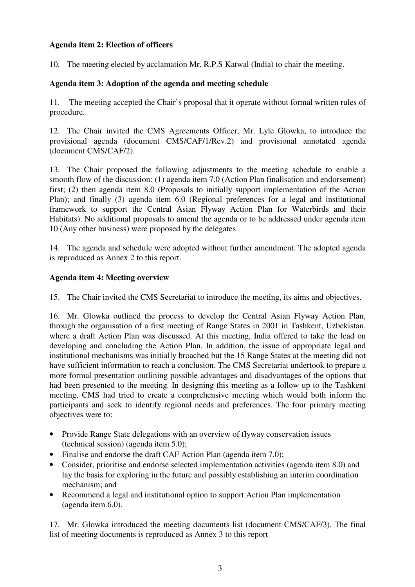#### **Agenda item 2: Election of officers**

10. The meeting elected by acclamation Mr. R.P.S Katwal (India) to chair the meeting.

#### **Agenda item 3: Adoption of the agenda and meeting schedule**

11. The meeting accepted the Chair's proposal that it operate without formal written rules of procedure.

12. The Chair invited the CMS Agreements Officer, Mr. Lyle Glowka, to introduce the provisional agenda (document CMS/CAF/1/Rev.2) and provisional annotated agenda (document CMS/CAF/2).

13. The Chair proposed the following adjustments to the meeting schedule to enable a smooth flow of the discussion: (1) agenda item 7.0 (Action Plan finalisation and endorsement) first; (2) then agenda item 8.0 (Proposals to initially support implementation of the Action Plan); and finally (3) agenda item 6.0 (Regional preferences for a legal and institutional framework to support the Central Asian Flyway Action Plan for Waterbirds and their Habitats). No additional proposals to amend the agenda or to be addressed under agenda item 10 (Any other business) were proposed by the delegates.

14. The agenda and schedule were adopted without further amendment. The adopted agenda is reproduced as Annex 2 to this report.

#### **Agenda item 4: Meeting overview**

15. The Chair invited the CMS Secretariat to introduce the meeting, its aims and objectives.

16. Mr. Glowka outlined the process to develop the Central Asian Flyway Action Plan, through the organisation of a first meeting of Range States in 2001 in Tashkent, Uzbekistan, where a draft Action Plan was discussed. At this meeting, India offered to take the lead on developing and concluding the Action Plan. In addition, the issue of appropriate legal and institutional mechanisms was initially broached but the 15 Range States at the meeting did not have sufficient information to reach a conclusion. The CMS Secretariat undertook to prepare a more formal presentation outlining possible advantages and disadvantages of the options that had been presented to the meeting. In designing this meeting as a follow up to the Tashkent meeting, CMS had tried to create a comprehensive meeting which would both inform the participants and seek to identify regional needs and preferences. The four primary meeting objectives were to:

- Provide Range State delegations with an overview of flyway conservation issues (technical session) (agenda item 5.0);
- Finalise and endorse the draft CAF Action Plan (agenda item 7.0);
- Consider, prioritise and endorse selected implementation activities (agenda item 8.0) and lay the basis for exploring in the future and possibly establishing an interim coordination mechanism; and
- Recommend a legal and institutional option to support Action Plan implementation (agenda item 6.0).

17. Mr. Glowka introduced the meeting documents list (document CMS/CAF/3). The final list of meeting documents is reproduced as Annex 3 to this report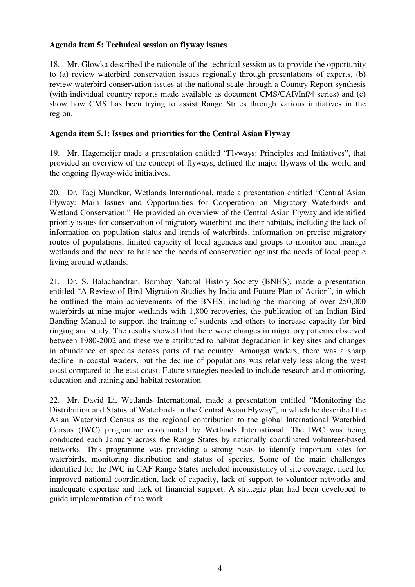#### **Agenda item 5: Technical session on flyway issues**

18. Mr. Glowka described the rationale of the technical session as to provide the opportunity to (a) review waterbird conservation issues regionally through presentations of experts, (b) review waterbird conservation issues at the national scale through a Country Report synthesis (with individual country reports made available as document CMS/CAF/Inf/4 series) and (c) show how CMS has been trying to assist Range States through various initiatives in the region.

## **Agenda item 5.1: Issues and priorities for the Central Asian Flyway**

19. Mr. Hagemeijer made a presentation entitled "Flyways: Principles and Initiatives", that provided an overview of the concept of flyways, defined the major flyways of the world and the ongoing flyway-wide initiatives.

20. Dr. Taej Mundkur, Wetlands International, made a presentation entitled "Central Asian Flyway: Main Issues and Opportunities for Cooperation on Migratory Waterbirds and Wetland Conservation." He provided an overview of the Central Asian Flyway and identified priority issues for conservation of migratory waterbird and their habitats, including the lack of information on population status and trends of waterbirds, information on precise migratory routes of populations, limited capacity of local agencies and groups to monitor and manage wetlands and the need to balance the needs of conservation against the needs of local people living around wetlands.

21. Dr. S. Balachandran, Bombay Natural History Society (BNHS), made a presentation entitled "A Review of Bird Migration Studies by India and Future Plan of Action", in which he outlined the main achievements of the BNHS, including the marking of over 250,000 waterbirds at nine major wetlands with 1,800 recoveries, the publication of an Indian Bird Banding Manual to support the training of students and others to increase capacity for bird ringing and study. The results showed that there were changes in migratory patterns observed between 1980-2002 and these were attributed to habitat degradation in key sites and changes in abundance of species across parts of the country. Amongst waders, there was a sharp decline in coastal waders, but the decline of populations was relatively less along the west coast compared to the east coast. Future strategies needed to include research and monitoring, education and training and habitat restoration.

22. Mr. David Li, Wetlands International, made a presentation entitled "Monitoring the Distribution and Status of Waterbirds in the Central Asian Flyway", in which he described the Asian Waterbird Census as the regional contribution to the global International Waterbird Census (IWC) programme coordinated by Wetlands International. The IWC was being conducted each January across the Range States by nationally coordinated volunteer-based networks. This programme was providing a strong basis to identify important sites for waterbirds, monitoring distribution and status of species. Some of the main challenges identified for the IWC in CAF Range States included inconsistency of site coverage, need for improved national coordination, lack of capacity, lack of support to volunteer networks and inadequate expertise and lack of financial support. A strategic plan had been developed to guide implementation of the work.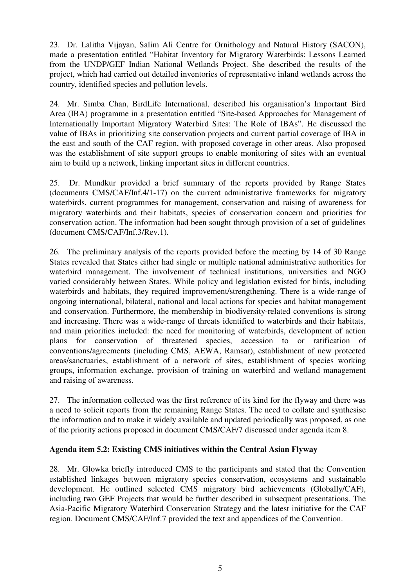23. Dr. Lalitha Vijayan, Salim Ali Centre for Ornithology and Natural History (SACON), made a presentation entitled "Habitat Inventory for Migratory Waterbirds: Lessons Learned from the UNDP/GEF Indian National Wetlands Project. She described the results of the project, which had carried out detailed inventories of representative inland wetlands across the country, identified species and pollution levels.

24. Mr. Simba Chan, BirdLife International, described his organisation's Important Bird Area (IBA) programme in a presentation entitled "Site-based Approaches for Management of Internationally Important Migratory Waterbird Sites: The Role of IBAs". He discussed the value of IBAs in prioritizing site conservation projects and current partial coverage of IBA in the east and south of the CAF region, with proposed coverage in other areas. Also proposed was the establishment of site support groups to enable monitoring of sites with an eventual aim to build up a network, linking important sites in different countries.

25. Dr. Mundkur provided a brief summary of the reports provided by Range States (documents CMS/CAF/Inf.4/1-17) on the current administrative frameworks for migratory waterbirds, current programmes for management, conservation and raising of awareness for migratory waterbirds and their habitats, species of conservation concern and priorities for conservation action. The information had been sought through provision of a set of guidelines (document CMS/CAF/Inf.3/Rev.1).

26. The preliminary analysis of the reports provided before the meeting by 14 of 30 Range States revealed that States either had single or multiple national administrative authorities for waterbird management. The involvement of technical institutions, universities and NGO varied considerably between States. While policy and legislation existed for birds, including waterbirds and habitats, they required improvement/strengthening. There is a wide-range of ongoing international, bilateral, national and local actions for species and habitat management and conservation. Furthermore, the membership in biodiversity-related conventions is strong and increasing. There was a wide-range of threats identified to waterbirds and their habitats, and main priorities included: the need for monitoring of waterbirds, development of action plans for conservation of threatened species, accession to or ratification of conventions/agreements (including CMS, AEWA, Ramsar), establishment of new protected areas/sanctuaries, establishment of a network of sites, establishment of species working groups, information exchange, provision of training on waterbird and wetland management and raising of awareness.

27. The information collected was the first reference of its kind for the flyway and there was a need to solicit reports from the remaining Range States. The need to collate and synthesise the information and to make it widely available and updated periodically was proposed, as one of the priority actions proposed in document CMS/CAF/7 discussed under agenda item 8.

## **Agenda item 5.2: Existing CMS initiatives within the Central Asian Flyway**

28. Mr. Glowka briefly introduced CMS to the participants and stated that the Convention established linkages between migratory species conservation, ecosystems and sustainable development. He outlined selected CMS migratory bird achievements (Globally/CAF), including two GEF Projects that would be further described in subsequent presentations. The Asia-Pacific Migratory Waterbird Conservation Strategy and the latest initiative for the CAF region. Document CMS/CAF/Inf.7 provided the text and appendices of the Convention.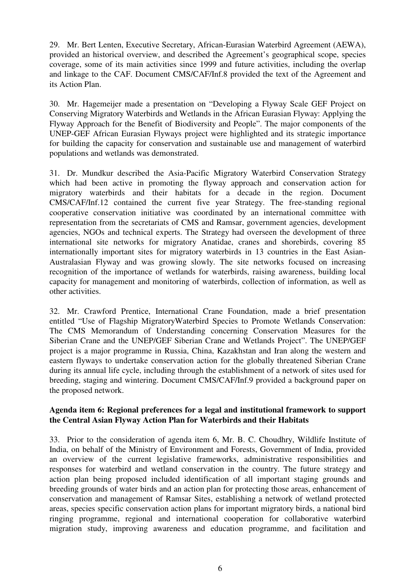29. Mr. Bert Lenten, Executive Secretary, African-Eurasian Waterbird Agreement (AEWA), provided an historical overview, and described the Agreement's geographical scope, species coverage, some of its main activities since 1999 and future activities, including the overlap and linkage to the CAF. Document CMS/CAF/Inf.8 provided the text of the Agreement and its Action Plan.

30. Mr. Hagemeijer made a presentation on "Developing a Flyway Scale GEF Project on Conserving Migratory Waterbirds and Wetlands in the African Eurasian Flyway: Applying the Flyway Approach for the Benefit of Biodiversity and People". The major components of the UNEP-GEF African Eurasian Flyways project were highlighted and its strategic importance for building the capacity for conservation and sustainable use and management of waterbird populations and wetlands was demonstrated.

31. Dr. Mundkur described the Asia-Pacific Migratory Waterbird Conservation Strategy which had been active in promoting the flyway approach and conservation action for migratory waterbirds and their habitats for a decade in the region. Document CMS/CAF/Inf.12 contained the current five year Strategy. The free-standing regional cooperative conservation initiative was coordinated by an international committee with representation from the secretariats of CMS and Ramsar, government agencies, development agencies, NGOs and technical experts. The Strategy had overseen the development of three international site networks for migratory Anatidae, cranes and shorebirds, covering 85 internationally important sites for migratory waterbirds in 13 countries in the East Asian-Australasian Flyway and was growing slowly. The site networks focused on increasing recognition of the importance of wetlands for waterbirds, raising awareness, building local capacity for management and monitoring of waterbirds, collection of information, as well as other activities.

32. Mr. Crawford Prentice, International Crane Foundation, made a brief presentation entitled "Use of Flagship MigratoryWaterbird Species to Promote Wetlands Conservation: The CMS Memorandum of Understanding concerning Conservation Measures for the Siberian Crane and the UNEP/GEF Siberian Crane and Wetlands Project". The UNEP/GEF project is a major programme in Russia, China, Kazakhstan and Iran along the western and eastern flyways to undertake conservation action for the globally threatened Siberian Crane during its annual life cycle, including through the establishment of a network of sites used for breeding, staging and wintering. Document CMS/CAF/Inf.9 provided a background paper on the proposed network.

#### **Agenda item 6: Regional preferences for a legal and institutional framework to support the Central Asian Flyway Action Plan for Waterbirds and their Habitats**

33. Prior to the consideration of agenda item 6, Mr. B. C. Choudhry, Wildlife Institute of India, on behalf of the Ministry of Environment and Forests, Government of India, provided an overview of the current legislative frameworks, administrative responsibilities and responses for waterbird and wetland conservation in the country. The future strategy and action plan being proposed included identification of all important staging grounds and breeding grounds of water birds and an action plan for protecting those areas, enhancement of conservation and management of Ramsar Sites, establishing a network of wetland protected areas, species specific conservation action plans for important migratory birds, a national bird ringing programme, regional and international cooperation for collaborative waterbird migration study, improving awareness and education programme, and facilitation and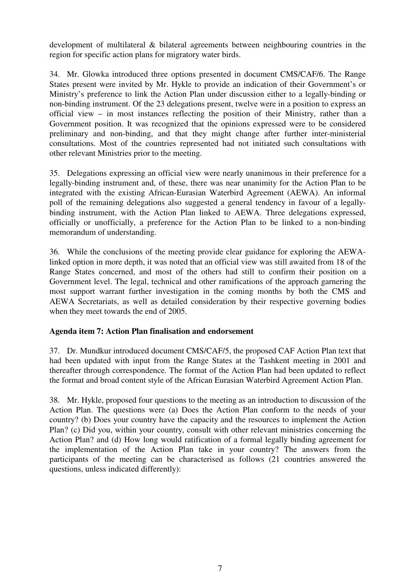development of multilateral & bilateral agreements between neighbouring countries in the region for specific action plans for migratory water birds.

34. Mr. Glowka introduced three options presented in document CMS/CAF/6. The Range States present were invited by Mr. Hykle to provide an indication of their Government's or Ministry's preference to link the Action Plan under discussion either to a legally-binding or non-binding instrument. Of the 23 delegations present, twelve were in a position to express an official view – in most instances reflecting the position of their Ministry, rather than a Government position. It was recognized that the opinions expressed were to be considered preliminary and non-binding, and that they might change after further inter-ministerial consultations. Most of the countries represented had not initiated such consultations with other relevant Ministries prior to the meeting.

35. Delegations expressing an official view were nearly unanimous in their preference for a legally-binding instrument and, of these, there was near unanimity for the Action Plan to be integrated with the existing African-Eurasian Waterbird Agreement (AEWA). An informal poll of the remaining delegations also suggested a general tendency in favour of a legallybinding instrument, with the Action Plan linked to AEWA. Three delegations expressed, officially or unofficially, a preference for the Action Plan to be linked to a non-binding memorandum of understanding.

36. While the conclusions of the meeting provide clear guidance for exploring the AEWAlinked option in more depth, it was noted that an official view was still awaited from 18 of the Range States concerned, and most of the others had still to confirm their position on a Government level. The legal, technical and other ramifications of the approach garnering the most support warrant further investigation in the coming months by both the CMS and AEWA Secretariats, as well as detailed consideration by their respective governing bodies when they meet towards the end of 2005.

## **Agenda item 7: Action Plan finalisation and endorsement**

37. Dr. Mundkur introduced document CMS/CAF/5, the proposed CAF Action Plan text that had been updated with input from the Range States at the Tashkent meeting in 2001 and thereafter through correspondence. The format of the Action Plan had been updated to reflect the format and broad content style of the African Eurasian Waterbird Agreement Action Plan.

38. Mr. Hykle, proposed four questions to the meeting as an introduction to discussion of the Action Plan. The questions were (a) Does the Action Plan conform to the needs of your country? (b) Does your country have the capacity and the resources to implement the Action Plan? (c) Did you, within your country, consult with other relevant ministries concerning the Action Plan? and (d) How long would ratification of a formal legally binding agreement for the implementation of the Action Plan take in your country? The answers from the participants of the meeting can be characterised as follows (21 countries answered the questions, unless indicated differently):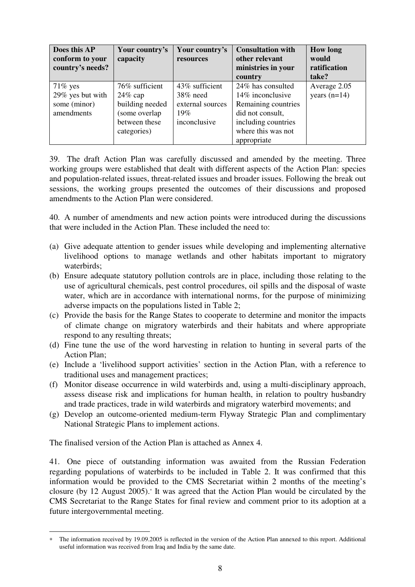| Does this AP<br>conform to your<br>country's needs? | Your country's<br>capacity | Your country's<br>resources | <b>Consultation with</b><br>other relevant<br>ministries in your<br>country | <b>How long</b><br>would<br>ratification<br>take? |
|-----------------------------------------------------|----------------------------|-----------------------------|-----------------------------------------------------------------------------|---------------------------------------------------|
| $71\%$ yes                                          | 76% sufficient             | 43\% sufficient             | 24% has consulted                                                           | Average 2.05                                      |
| 29% yes but with                                    | $24\%$ cap                 | 38% need                    | 14% inconclusive                                                            | years $(n=14)$                                    |
| some (minor)                                        | building needed            | external sources            | Remaining countries                                                         |                                                   |
| amendments                                          | (some overlap              | 19%                         | did not consult,                                                            |                                                   |
|                                                     | between these              | inconclusive                | including countries                                                         |                                                   |
|                                                     | categories)                |                             | where this was not                                                          |                                                   |
|                                                     |                            |                             | appropriate                                                                 |                                                   |

39. The draft Action Plan was carefully discussed and amended by the meeting. Three working groups were established that dealt with different aspects of the Action Plan: species and population-related issues, threat-related issues and broader issues. Following the break out sessions, the working groups presented the outcomes of their discussions and proposed amendments to the Action Plan were considered.

40. A number of amendments and new action points were introduced during the discussions that were included in the Action Plan. These included the need to:

- (a) Give adequate attention to gender issues while developing and implementing alternative livelihood options to manage wetlands and other habitats important to migratory waterbirds;
- (b) Ensure adequate statutory pollution controls are in place, including those relating to the use of agricultural chemicals, pest control procedures, oil spills and the disposal of waste water, which are in accordance with international norms, for the purpose of minimizing adverse impacts on the populations listed in Table 2;
- (c) Provide the basis for the Range States to cooperate to determine and monitor the impacts of climate change on migratory waterbirds and their habitats and where appropriate respond to any resulting threats;
- (d) Fine tune the use of the word harvesting in relation to hunting in several parts of the Action Plan;
- (e) Include a 'livelihood support activities' section in the Action Plan, with a reference to traditional uses and management practices;
- (f) Monitor disease occurrence in wild waterbirds and, using a multi-disciplinary approach, assess disease risk and implications for human health, in relation to poultry husbandry and trade practices, trade in wild waterbirds and migratory waterbird movements; and
- (g) Develop an outcome-oriented medium-term Flyway Strategic Plan and complimentary National Strategic Plans to implement actions.

The finalised version of the Action Plan is attached as Annex 4.

41. One piece of outstanding information was awaited from the Russian Federation regarding populations of waterbirds to be included in Table 2. It was confirmed that this information would be provided to the CMS Secretariat within 2 months of the meeting's closure (by 12 August 2005).<sup>∗</sup> It was agreed that the Action Plan would be circulated by the CMS Secretariat to the Range States for final review and comment prior to its adoption at a future intergovernmental meeting.

 $\overline{a}$ The information received by 19.09.2005 is reflected in the version of the Action Plan annexed to this report. Additional useful information was received from Iraq and India by the same date.